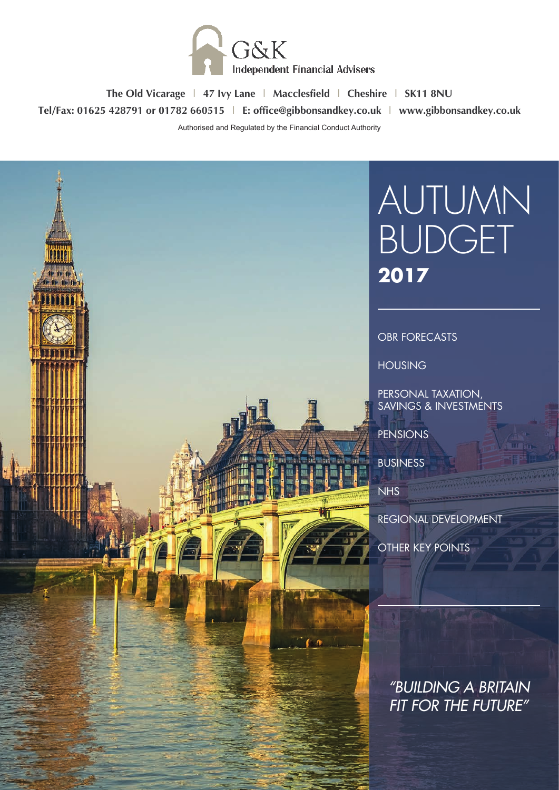

**The Old Vicarage | 47 Ivy Lane | Macclesfield | Cheshire | SK11 8NU Tel/Fax: 01625 428791 or 01782 660515 | E: office@gibbonsandkey.co.uk | www.gibbonsandkey.co.uk**

Authorised and Regulated by the Financial Conduct Authority

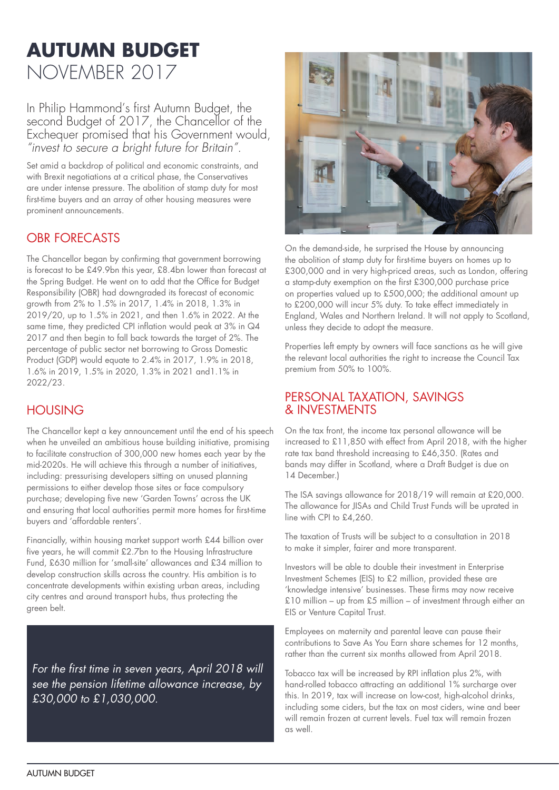# **AUTUMN BUDGET**  NOVEMBER 2017

In Philip Hammond's first Autumn Budget, the second Budget of 2017, the Chancellor of the Exchequer promised that his Government would, *"invest to secure a bright future for Britain".*

Set amid a backdrop of political and economic constraints, and with Brexit negotiations at a critical phase, the Conservatives are under intense pressure. The abolition of stamp duty for most first-time buyers and an array of other housing measures were prominent announcements.

# OBR FORECASTS

The Chancellor began by confirming that government borrowing is forecast to be £49.9bn this year, £8.4bn lower than forecast at the Spring Budget. He went on to add that the Office for Budget Responsibility (OBR) had downgraded its forecast of economic growth from 2% to 1.5% in 2017, 1.4% in 2018, 1.3% in 2019/20, up to 1.5% in 2021, and then 1.6% in 2022. At the same time, they predicted CPI inflation would peak at 3% in Q4 2017 and then begin to fall back towards the target of 2%. The percentage of public sector net borrowing to Gross Domestic Product (GDP) would equate to 2.4% in 2017, 1.9% in 2018, 1.6% in 2019, 1.5% in 2020, 1.3% in 2021 and1.1% in 2022/23.

# HOUSING

The Chancellor kept a key announcement until the end of his speech when he unveiled an ambitious house building initiative, promising to facilitate construction of 300,000 new homes each year by the mid-2020s. He will achieve this through a number of initiatives, including: pressurising developers sitting on unused planning permissions to either develop those sites or face compulsory purchase; developing five new 'Garden Towns' across the UK and ensuring that local authorities permit more homes for first-time buyers and 'affordable renters'.

Financially, within housing market support worth £44 billion over five years, he will commit £2.7bn to the Housing Infrastructure Fund, £630 million for 'small-site' allowances and £34 million to develop construction skills across the country. His ambition is to concentrate developments within existing urban areas, including city centres and around transport hubs, thus protecting the green belt.

*For the first time in seven years, April 2018 will see the pension lifetime allowance increase, by £30,000 to £1,030,000.*



On the demand-side, he surprised the House by announcing the abolition of stamp duty for first-time buyers on homes up to £300,000 and in very high-priced areas, such as London, offering a stamp-duty exemption on the first £300,000 purchase price on properties valued up to £500,000; the additional amount up to £200,000 will incur 5% duty. To take effect immediately in England, Wales and Northern Ireland. It will not apply to Scotland, unless they decide to adopt the measure.

Properties left empty by owners will face sanctions as he will give the relevant local authorities the right to increase the Council Tax premium from 50% to 100%.

#### PERSONAL TAXATION, SAVINGS & INVESTMENTS

On the tax front, the income tax personal allowance will be increased to £11,850 with effect from April 2018, with the higher rate tax band threshold increasing to £46,350. (Rates and bands may differ in Scotland, where a Draft Budget is due on 14 December.)

The ISA savings allowance for 2018/19 will remain at £20,000. The allowance for JISAs and Child Trust Funds will be uprated in line with CPI to £4,260.

The taxation of Trusts will be subject to a consultation in 2018 to make it simpler, fairer and more transparent.

Investors will be able to double their investment in Enterprise Investment Schemes (EIS) to £2 million, provided these are 'knowledge intensive' businesses. These firms may now receive £10 million – up from £5 million – of investment through either an EIS or Venture Capital Trust.

Employees on maternity and parental leave can pause their contributions to Save As You Earn share schemes for 12 months, rather than the current six months allowed from April 2018.

Tobacco tax will be increased by RPI inflation plus 2%, with hand-rolled tobacco attracting an additional 1% surcharge over this. In 2019, tax will increase on low-cost, high-alcohol drinks, including some ciders, but the tax on most ciders, wine and beer will remain frozen at current levels. Fuel tax will remain frozen as well.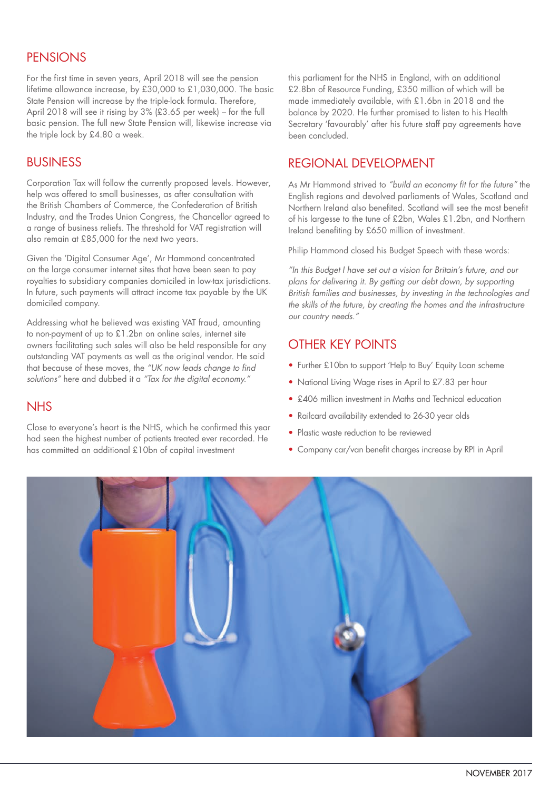# **PENSIONS**

For the first time in seven years, April 2018 will see the pension lifetime allowance increase, by £30,000 to £1,030,000. The basic State Pension will increase by the triple-lock formula. Therefore, April 2018 will see it rising by 3% (£3.65 per week) – for the full basic pension. The full new State Pension will, likewise increase via the triple lock by £4.80 a week.

## BUSINESS

Corporation Tax will follow the currently proposed levels. However, help was offered to small businesses, as after consultation with the British Chambers of Commerce, the Confederation of British Industry, and the Trades Union Congress, the Chancellor agreed to a range of business reliefs. The threshold for VAT registration will also remain at £85,000 for the next two years.

Given the 'Digital Consumer Age', Mr Hammond concentrated on the large consumer internet sites that have been seen to pay royalties to subsidiary companies domiciled in low-tax jurisdictions. In future, such payments will attract income tax payable by the UK domiciled company.

Addressing what he believed was existing VAT fraud, amounting to non-payment of up to £1.2bn on online sales, internet site owners facilitating such sales will also be held responsible for any outstanding VAT payments as well as the original vendor. He said that because of these moves, the *"UK now leads change to find solutions"* here and dubbed it a *"Tax for the digital economy."*

### **NHS**

Close to everyone's heart is the NHS, which he confirmed this year had seen the highest number of patients treated ever recorded. He has committed an additional £10bn of capital investment

this parliament for the NHS in England, with an additional £2.8bn of Resource Funding, £350 million of which will be made immediately available, with £1.6bn in 2018 and the balance by 2020. He further promised to listen to his Health Secretary 'favourably' after his future staff pay agreements have been concluded.

## REGIONAL DEVELOPMENT

As Mr Hammond strived to *"build an economy fit for the future"* the English regions and devolved parliaments of Wales, Scotland and Northern Ireland also benefited. Scotland will see the most benefit of his largesse to the tune of £2bn, Wales £1.2bn, and Northern Ireland benefiting by £650 million of investment.

Philip Hammond closed his Budget Speech with these words:

*"In this Budget I have set out a vision for Britain's future, and our plans for delivering it. By getting our debt down, by supporting British families and businesses, by investing in the technologies and the skills of the future, by creating the homes and the infrastructure our country needs."*

# OTHER KEY POINTS

- Further £10bn to support 'Help to Buy' Equity Loan scheme
- National Living Wage rises in April to £7.83 per hour
- £406 million investment in Maths and Technical education
- Railcard availability extended to 26-30 year olds
- Plastic waste reduction to be reviewed
- Company car/van benefit charges increase by RPI in April